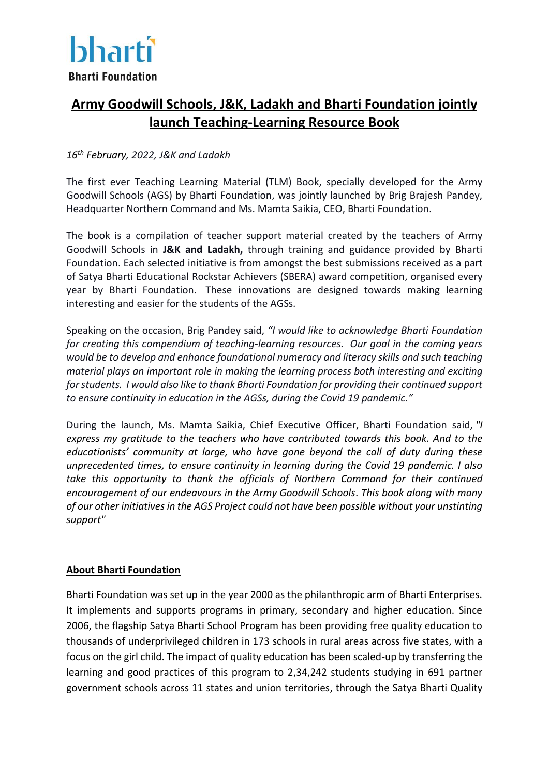

## **Army Goodwill Schools, J&K, Ladakh and Bharti Foundation jointly launch Teaching-Learning Resource Book**

## *16th February, 2022, J&K and Ladakh*

The first ever Teaching Learning Material (TLM) Book, specially developed for the Army Goodwill Schools (AGS) by Bharti Foundation, was jointly launched by Brig Brajesh Pandey, Headquarter Northern Command and Ms. Mamta Saikia, CEO, Bharti Foundation.

The book is a compilation of teacher support material created by the teachers of Army Goodwill Schools in **J&K and Ladakh,** through training and guidance provided by Bharti Foundation. Each selected initiative is from amongst the best submissions received as a part of Satya Bharti Educational Rockstar Achievers (SBERA) award competition, organised every year by Bharti Foundation. These innovations are designed towards making learning interesting and easier for the students of the AGSs.

Speaking on the occasion, Brig Pandey said, *"I would like to acknowledge Bharti Foundation for creating this compendium of teaching-learning resources. Our goal in the coming years would be to develop and enhance foundational numeracy and literacy skills and such teaching material plays an important role in making the learning process both interesting and exciting for students. I would also like to thank Bharti Foundation for providing their continued support to ensure continuity in education in the AGSs, during the Covid 19 pandemic."*

During the launch, Ms. Mamta Saikia, Chief Executive Officer, Bharti Foundation said, *"I express my gratitude to the teachers who have contributed towards this book. And to the educationists' community at large, who have gone beyond the call of duty during these unprecedented times, to ensure continuity in learning during the Covid 19 pandemic. I also take this opportunity to thank the officials of Northern Command for their continued encouragement of our endeavours in the Army Goodwill Schools*. *This book along with many of our other initiatives in the AGS Project could not have been possible without your unstinting support"*

## **About Bharti Foundation**

Bharti Foundation was set up in the year 2000 as the philanthropic arm of Bharti Enterprises. It implements and supports programs in primary, secondary and higher education. Since 2006, the flagship Satya Bharti School Program has been providing free quality education to thousands of underprivileged children in 173 schools in rural areas across five states, with a focus on the girl child. The impact of quality education has been scaled-up by transferring the learning and good practices of this program to 2,34,242 students studying in 691 partner government schools across 11 states and union territories, through the Satya Bharti Quality